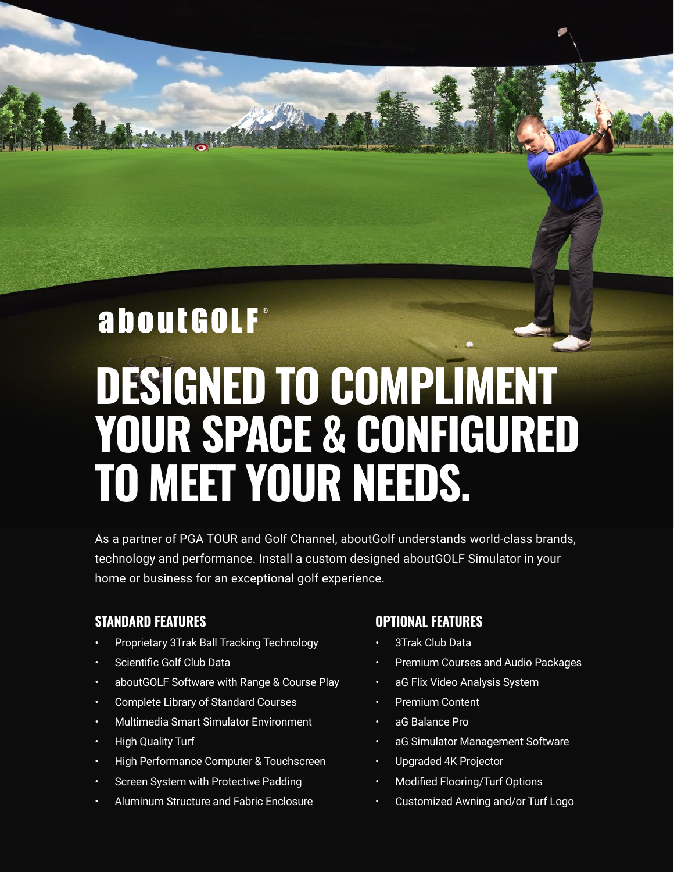# aboutGOLF® **DESIGNED TO COMPLIMENT YOUR SPACE & CONFIGURED TO MEET YOUR NEEDS.**

As a partner of PGA TOUR and Golf Channel, aboutGolf understands world-class brands, technology and performance. Install a custom designed aboutGOLF Simulator in your home or business for an exceptional golf experience.

## **STANDARD FEATURES**

- Proprietary 3Trak Ball Tracking Technology
- Scientific Golf Club Data
- aboutGOLF Software with Range & Course Play
- Complete Library of Standard Courses
- Multimedia Smart Simulator Environment
- High Quality Turf
- High Performance Computer & Touchscreen
- Screen System with Protective Padding
- Aluminum Structure and Fabric Enclosure

#### **OPTIONAL FEATURES**

- 3Trak Club Data
- Premium Courses and Audio Packages
- aG Flix Video Analysis System
- Premium Content
- aG Balance Pro
- aG Simulator Management Software
- Upgraded 4K Projector
- Modified Flooring/Turf Options
- Customized Awning and/or Turf Logo